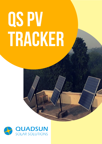# QSPV TRACKER

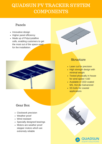### QUADSUN PV TRACKER SYSTEM **COMPONENTS**

#### Panels

- Innovative design
- Higher panel efficiency
- Made up of Polycrystalline cells, enabling customers to get the most out of the space used for the installation.



#### Gear Box

- Clockwork precision
- Weather proof
- Wind resistant
- Specially designed bearings
- Motors are weather proof stepper motors which are extremely reliable

#### **Structure**

- Laser cut for precision
- High strength design with minimal weight
- Tested physically in house for wind speed >160
- Available in CED coated MS, Hot dip Galvanized
- SS bolts for coastal applications

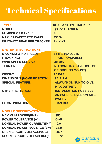## Technical Specifications

| <b>TYPE:</b><br><b>MODEL:</b><br><b>NUMBER OF PANELS:</b><br><b>MAX. CAPACITY PER PANEL:</b> | <b>DUAL AXIS PV TRACKER</b><br><b>QS PV TRACKER</b><br>$\overline{\mathbf{4}}$<br>350 W |
|----------------------------------------------------------------------------------------------|-----------------------------------------------------------------------------------------|
| KILOWATT PEAK PER TRACKER:                                                                   | <b>1.4 KWP</b>                                                                          |
| <b>SYSTEM SPECIFICATIONS:</b>                                                                |                                                                                         |
| <b>MAXIMUM WIND SPEED:</b>                                                                   | <b>15 M/S (VALUE IS</b>                                                                 |
| (TRACKING)                                                                                   | <b>PROGRAMMABLE)</b>                                                                    |
| <b>WIND SPEED SURVIVAL:</b>                                                                  | <b>40 M/S</b>                                                                           |
| <b>TERRAIN:</b>                                                                              | <b>NO CONSTRAINT (ROOFTOP</b>                                                           |
|                                                                                              | <b>OR GROUND MOUNT)</b>                                                                 |
| <b>WEIGHT:</b>                                                                               | <b>70 KGS</b>                                                                           |
| <b>DIMENSIONS (HOME POSITION):</b>                                                           | $3.2*2*1.4$                                                                             |
| <b>SPECIAL FEATURE:</b>                                                                      | <b>ALWAYS ON SUN TO GIVE</b>                                                            |
|                                                                                              | <b>MAX OUTPUT.</b>                                                                      |
| <b>OTHER FEATURES:</b>                                                                       | <b>INSTALLATION POSSIBLE</b>                                                            |
|                                                                                              | <b>ANYWHERE, EVEN ON-SITE</b>                                                           |
|                                                                                              | <b>WALLS.</b>                                                                           |
| <b>COMMUNICATION:</b>                                                                        | <b>CAN BUS</b>                                                                          |
|                                                                                              |                                                                                         |
| <b>MODULE SPECIFICATIONS:</b>                                                                |                                                                                         |
| <b>MAXIMUM POWER(PMP):</b>                                                                   | 350                                                                                     |
| <b>POWER TOLERANCE (+/-):</b>                                                                | $-0/+5$                                                                                 |
| <b>NOMINAL POWER CURRENT(IMP):</b>                                                           | 9.0                                                                                     |

**NOMINAL POWER VOLTAGE (VMP): 38.9**

**OPEN CIRCUIT VOLTAGE(VOC):** 46.7

**SHORT CIRCUIT VOLTAGE(ISC): 9.72**

SOLAR SOLUTIONS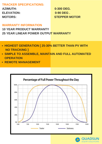#### **TRACKER SPECIFICATIONS:**

**AZIMUTH: 0-300 DEG. ELEVATION: 0-90 DEG . MOTORS: STEPPER MOTOR**

#### **WARRANTY INFORMATION**

**10 YEAR PRODUCT WARRANTY 25 YEAR LINEAR POWER OUTPUT WARRANTY**

- **HIGHEST GENERATION [ 25-30% BETTER THAN PV WITH NO TRACKING ]**
- **SIMPLE TO ASSEMBLE, MAINTAIN AND FULL AUTOMATED OPERATION**
- **REMOTE MANAGEMENT**